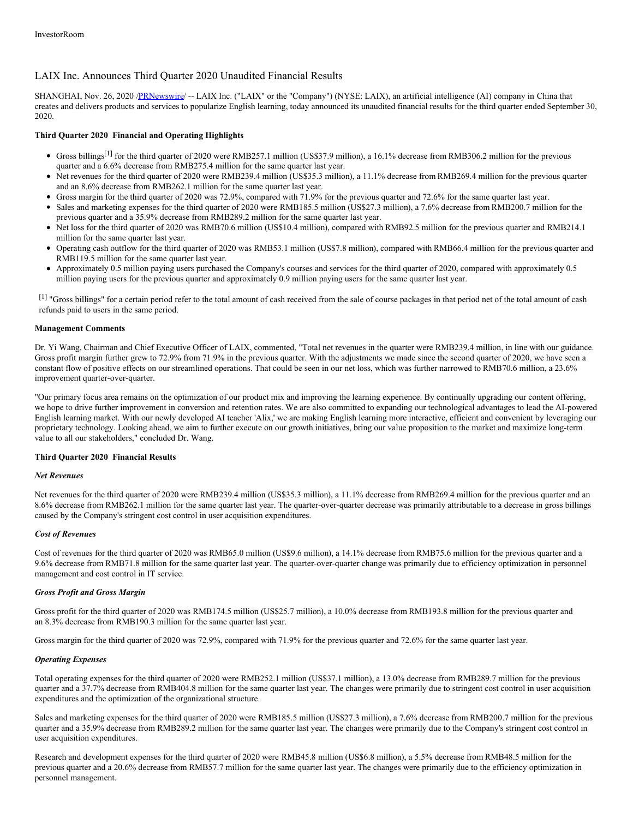# LAIX Inc. Announces Third Quarter 2020 Unaudited Financial Results

SHANGHAI, Nov. 26, 2020 [/PRNewswire](http://www.prnewswire.com/)/ -- LAIX Inc. ("LAIX" or the "Company") (NYSE: LAIX), an artificial intelligence (AI) company in China that creates and delivers products and services to popularize English learning, today announced its unaudited financial results for the third quarter ended September 30, 2020.

## **Third Quarter 2020 Financial and Operating Highlights**

- Gross billings<sup>[1]</sup> for the third quarter of 2020 were RMB257.1 million (US\$37.9 million), a 16.1% decrease from RMB306.2 million for the previous quarter and a 6.6% decrease from RMB275.4 million for the same quarter last year.
- Net revenues for the third quarter of 2020 were RMB239.4 million (US\$35.3 million), a 11.1% decrease from RMB269.4 million for the previous quarter and an 8.6% decrease from RMB262.1 million for the same quarter last year.
- Gross margin for the third quarter of 2020 was 72.9%, compared with 71.9% for the previous quarter and 72.6% for the same quarter last year.
- Sales and marketing expenses for the third quarter of 2020 were RMB185.5 million (US\$27.3 million), a 7.6% decrease from RMB200.7 million for the previous quarter and a 35.9% decrease from RMB289.2 million for the same quarter last year.
- Net loss for the third quarter of 2020 was RMB70.6 million (US\$10.4 million), compared with RMB92.5 million for the previous quarter and RMB214.1 million for the same quarter last year.
- Operating cash outflow for the third quarter of 2020 was RMB53.1 million (US\$7.8 million), compared with RMB66.4 million for the previous quarter and RMB119.5 million for the same quarter last year.
- Approximately 0.5 million paying users purchased the Company's courses and services for the third quarter of 2020, compared with approximately 0.5 million paying users for the previous quarter and approximately 0.9 million paying users for the same quarter last year.

[1] "Gross billings" for a certain period refer to the total amount of cash received from the sale of course packages in that period net of the total amount of cash refunds paid to users in the same period.

## **Management Comments**

Dr. Yi Wang, Chairman and Chief Executive Officer of LAIX, commented, "Total net revenues in the quarter were RMB239.4 million, in line with our guidance. Gross profit margin further grew to 72.9% from 71.9% in the previous quarter. With the adjustments we made since the second quarter of 2020, we have seen a constant flow of positive effects on our streamlined operations. That could be seen in our net loss, which was further narrowed to RMB70.6 million, a 23.6% improvement quarter-over-quarter.

"Our primary focus area remains on the optimization of our product mix and improving the learning experience. By continually upgrading our content offering, we hope to drive further improvement in conversion and retention rates. We are also committed to expanding our technological advantages to lead the AI-powered English learning market. With our newly developed AI teacher 'Alix,' we are making English learning more interactive, efficient and convenient by leveraging our proprietary technology. Looking ahead, we aim to further execute on our growth initiatives, bring our value proposition to the market and maximize long-term value to all our stakeholders," concluded Dr. Wang.

## **Third Quarter 2020 Financial Results**

## *Net Revenues*

Net revenues for the third quarter of 2020 were RMB239.4 million (US\$35.3 million), a 11.1% decrease from RMB269.4 million for the previous quarter and an 8.6% decrease from RMB262.1 million for the same quarter last year. The quarter-over-quarter decrease was primarily attributable to a decrease in gross billings caused by the Company's stringent cost control in user acquisition expenditures.

## *Cost of Revenues*

Cost of revenues for the third quarter of 2020 was RMB65.0 million (US\$9.6 million), a 14.1% decrease from RMB75.6 million for the previous quarter and a 9.6% decrease from RMB71.8 million for the same quarter last year. The quarter-over-quarter change was primarily due to efficiency optimization in personnel management and cost control in IT service.

## *Gross Profit and Gross Margin*

Gross profit for the third quarter of 2020 was RMB174.5 million (US\$25.7 million), a 10.0% decrease from RMB193.8 million for the previous quarter and an 8.3% decrease from RMB190.3 million for the same quarter last year.

Gross margin for the third quarter of 2020 was 72.9%, compared with 71.9% for the previous quarter and 72.6% for the same quarter last year.

## *Operating Expenses*

Total operating expenses for the third quarter of 2020 were RMB252.1 million (US\$37.1 million), a 13.0% decrease from RMB289.7 million for the previous quarter and a 37.7% decrease from RMB404.8 million for the same quarter last year. The changes were primarily due to stringent cost control in user acquisition expenditures and the optimization of the organizational structure.

Sales and marketing expenses for the third quarter of 2020 were RMB185.5 million (US\$27.3 million), a 7.6% decrease from RMB200.7 million for the previous quarter and a 35.9% decrease from RMB289.2 million for the same quarter last year. The changes were primarily due to the Company's stringent cost control in user acquisition expenditures.

Research and development expenses for the third quarter of 2020 were RMB45.8 million (US\$6.8 million), a 5.5% decrease from RMB48.5 million for the previous quarter and a 20.6% decrease from RMB57.7 million for the same quarter last year. The changes were primarily due to the efficiency optimization in personnel management.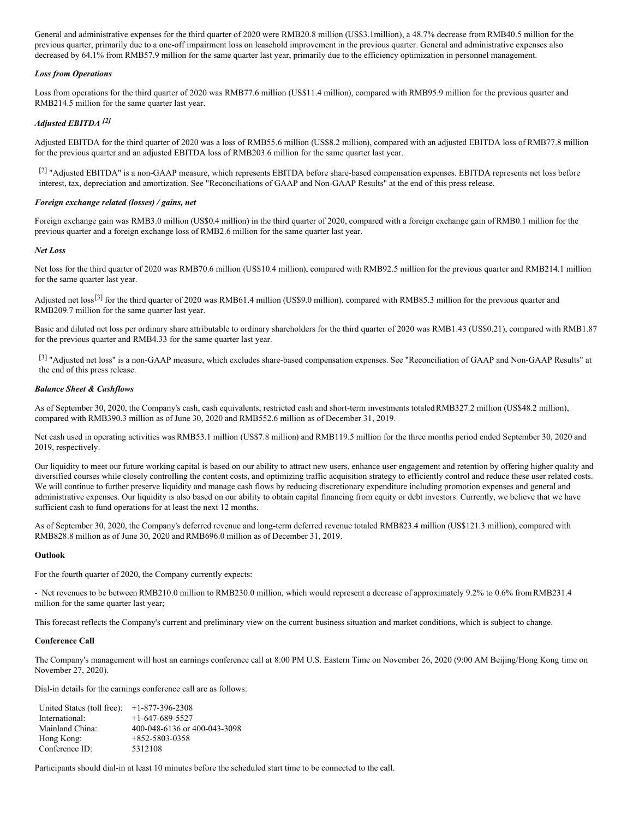General and administrative expenses for the third quarter of 2020 were RMB20.8 million (US\$3.1million), a 48.7% decrease from RMB40.5 million for the previous quarter, primarily due to a one-off impairment loss on leasehold improvement in the previous quarter. General and administrative expenses also decreased by 64.1% from RMB57.9 million for the same quarter last year, primarily due to the efficiency optimization in personnel management.

## *Loss from Operations*

Loss from operations for the third quarter of 2020 was RMB77.6 million (US\$11.4 million), compared with RMB95.9 million for the previous quarter and RMB214.5 million for the same quarter last year.

## *Adjusted EBITDA [2]*

Adjusted EBITDA for the third quarter of 2020 was a loss of RMB55.6 million (US\$8.2 million), compared with an adjusted EBITDA loss of RMB77.8 million for the previous quarter and an adjusted EBITDA loss of RMB203.6 million for the same quarter last year.

[2] "Adjusted EBITDA" is a non-GAAP measure, which represents EBITDA before share-based compensation expenses. EBITDA represents net loss before interest, tax, depreciation and amortization. See "Reconciliations of GAAP and Non-GAAP Results" at the end of this press release.

## *Foreign exchange related (losses) / gains, net*

Foreign exchange gain was RMB3.0 million (US\$0.4 million) in the third quarter of 2020, compared with a foreign exchange gain of RMB0.1 million for the previous quarter and a foreign exchange loss of RMB2.6 million for the same quarter last year.

#### *Net Loss*

Net loss for the third quarter of 2020 was RMB70.6 million (US\$10.4 million), compared with RMB92.5 million for the previous quarter and RMB214.1 million for the same quarter last year.

Adjusted net loss<sup>[3]</sup> for the third quarter of 2020 was RMB61.4 million (US\$9.0 million), compared with RMB85.3 million for the previous quarter and RMB209.7 million for the same quarter last year.

Basic and diluted net loss per ordinary share attributable to ordinary shareholders for the third quarter of 2020 was RMB1.43 (US\$0.21), compared with RMB1.87 for the previous quarter and RMB4.33 for the same quarter last year.

<sup>[3]</sup> "Adjusted net loss" is a non-GAAP measure, which excludes share-based compensation expenses. See "Reconciliation of GAAP and Non-GAAP Results" at the end of this press release.

#### *Balance Sheet & Cashflows*

As of September 30, 2020, the Company's cash, cash equivalents, restricted cash and short-term investments totaledRMB327.2 million (US\$48.2 million), compared with RMB390.3 million as of June 30, 2020 and RMB552.6 million as of December 31, 2019.

Net cash used in operating activities was RMB53.1 million (US\$7.8 million) and RMB119.5 million for the three months period ended September 30, 2020 and 2019, respectively.

Our liquidity to meet our future working capital is based on our ability to attract new users, enhance user engagement and retention by offering higher quality and diversified courses while closely controlling the content costs, and optimizing traffic acquisition strategy to efficiently control and reduce these user related costs. We will continue to further preserve liquidity and manage cash flows by reducing discretionary expenditure including promotion expenses and general and administrative expenses. Our liquidity is also based on our ability to obtain capital financing from equity or debt investors. Currently, we believe that we have sufficient cash to fund operations for at least the next 12 months.

As of September 30, 2020, the Company's deferred revenue and long-term deferred revenue totaled RMB823.4 million (US\$121.3 million), compared with RMB828.8 million as of June 30, 2020 and RMB696.0 million as of December 31, 2019.

#### **Outlook**

For the fourth quarter of 2020, the Company currently expects:

- Net revenues to be between RMB210.0 million to RMB230.0 million, which would represent a decrease of approximately 9.2% to 0.6% fromRMB231.4 million for the same quarter last year;

This forecast reflects the Company's current and preliminary view on the current business situation and market conditions, which is subject to change.

#### **Conference Call**

The Company's management will host an earnings conference call at 8:00 PM U.S. Eastern Time on November 26, 2020 (9:00 AM Beijing/Hong Kong time on November 27, 2020).

Dial-in details for the earnings conference call are as follows:

| $+1-877-396-2308$            |
|------------------------------|
| $+1-647-689-5527$            |
| 400-048-6136 or 400-043-3098 |
| $+852-5803-0358$             |
| 5312108                      |
|                              |

Participants should dial-in at least 10 minutes before the scheduled start time to be connected to the call.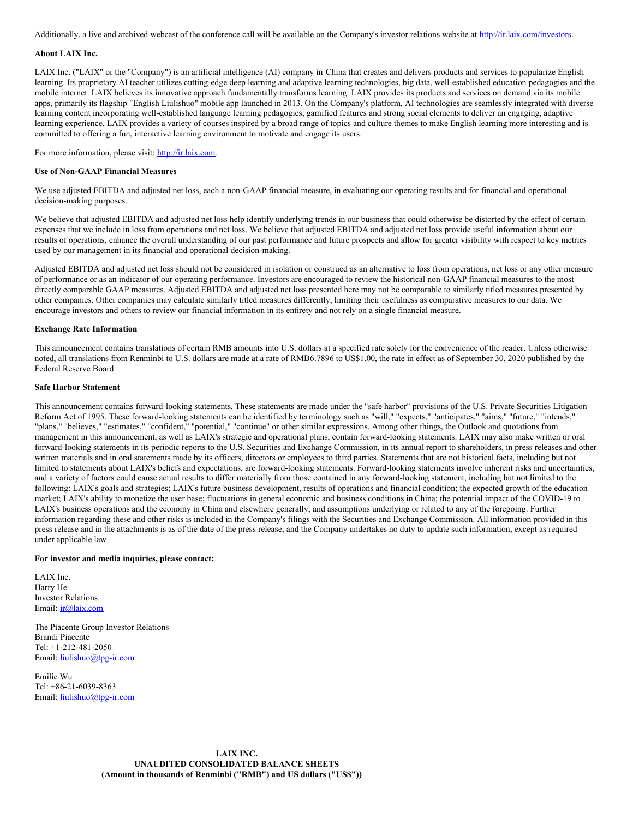Additionally, a live and archived webcast of the conference call will be available on the Company's investor relations website at [http://ir.laix.com/investors](http://ir.laix.com/investors/overview/default.aspx).

#### **About LAIX Inc.**

LAIX Inc. ("LAIX" or the "Company") is an artificial intelligence (AI) company in China that creates and delivers products and services to popularize English learning. Its proprietary AI teacher utilizes cutting-edge deep learning and adaptive learning technologies, big data, well-established education pedagogies and the mobile internet. LAIX believes its innovative approach fundamentally transforms learning. LAIX provides its products and services on demand via its mobile apps, primarily its flagship "English Liulishuo" mobile app launched in 2013. On the Company's platform, AI technologies are seamlessly integrated with diverse learning content incorporating well-established language learning pedagogies, gamified features and strong social elements to deliver an engaging, adaptive learning experience. LAIX provides a variety of courses inspired by a broad range of topics and culture themes to make English learning more interesting and is committed to offering a fun, interactive learning environment to motivate and engage its users.

For more information, please visit: [http://ir.laix.com](http://ir.laix.com/).

#### **Use of Non-GAAP Financial Measures**

We use adjusted EBITDA and adjusted net loss, each a non-GAAP financial measure, in evaluating our operating results and for financial and operational decision-making purposes.

We believe that adjusted EBITDA and adjusted net loss help identify underlying trends in our business that could otherwise be distorted by the effect of certain expenses that we include in loss from operations and net loss. We believe that adjusted EBITDA and adjusted net loss provide useful information about our results of operations, enhance the overall understanding of our past performance and future prospects and allow for greater visibility with respect to key metrics used by our management in its financial and operational decision-making.

Adjusted EBITDA and adjusted net loss should not be considered in isolation or construed as an alternative to loss from operations, net loss or any other measure of performance or as an indicator of our operating performance. Investors are encouraged to review the historical non-GAAP financial measures to the most directly comparable GAAP measures. Adjusted EBITDA and adjusted net loss presented here may not be comparable to similarly titled measures presented by other companies. Other companies may calculate similarly titled measures differently, limiting their usefulness as comparative measures to our data. We encourage investors and others to review our financial information in its entirety and not rely on a single financial measure.

#### **Exchange Rate Information**

This announcement contains translations of certain RMB amounts into U.S. dollars at a specified rate solely for the convenience of the reader. Unless otherwise noted, all translations from Renminbi to U.S. dollars are made at a rate of RMB6.7896 to US\$1.00, the rate in effect as of September 30, 2020 published by the Federal Reserve Board.

### **Safe Harbor Statement**

This announcement contains forward-looking statements. These statements are made under the "safe harbor" provisions of the U.S. Private Securities Litigation Reform Act of 1995. These forward-looking statements can be identified by terminology such as "will," "expects," "anticipates," "aims," "future," "intends," "plans," "believes," "estimates," "confident," "potential," "continue" or other similar expressions. Among other things, the Outlook and quotations from management in this announcement, as well as LAIX's strategic and operational plans, contain forward-looking statements. LAIX may also make written or oral forward-looking statements in its periodic reports to the U.S. Securities and Exchange Commission, in its annual report to shareholders, in press releases and other written materials and in oral statements made by its officers, directors or employees to third parties. Statements that are not historical facts, including but not limited to statements about LAIX's beliefs and expectations, are forward-looking statements. Forward-looking statements involve inherent risks and uncertainties, and a variety of factors could cause actual results to differ materially from those contained in any forward-looking statement, including but not limited to the following: LAIX's goals and strategies; LAIX's future business development, results of operations and financial condition; the expected growth of the education market; LAIX's ability to monetize the user base; fluctuations in general economic and business conditions in China; the potential impact of the COVID-19 to LAIX's business operations and the economy in China and elsewhere generally; and assumptions underlying or related to any of the foregoing. Further information regarding these and other risks is included in the Company's filings with the Securities and Exchange Commission. All information provided in this press release and in the attachments is as of the date of the press release, and the Company undertakes no duty to update such information, except as required under applicable law.

#### **For investor and media inquiries, please contact:**

LAIX Inc. Harry He Investor Relations Email: [ir@laix.com](mailto:ir@laix.com)

The Piacente Group Investor Relations Brandi Piacente Tel: +1-212-481-2050 Email: [liulishuo@tpg-ir.com](mailto:liulishuo@tpg-ir.com)

Emilie Wu Tel: +86-21-6039-8363 Email: [liulishuo@tpg-ir.com](mailto:liulishuo@tpg-ir.com)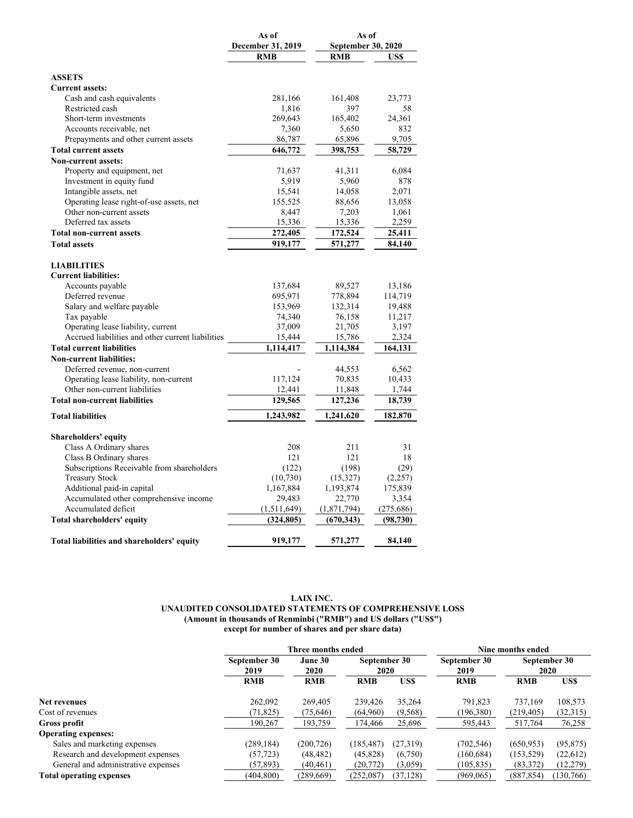|                                                   | As of             | As of          |                    |  |  |
|---------------------------------------------------|-------------------|----------------|--------------------|--|--|
|                                                   | December 31, 2019 |                | September 30, 2020 |  |  |
|                                                   | <b>RMB</b>        | <b>RMB</b>     | US\$               |  |  |
|                                                   |                   |                |                    |  |  |
| <b>ASSETS</b>                                     |                   |                |                    |  |  |
| <b>Current assets:</b>                            |                   |                |                    |  |  |
| Cash and cash equivalents<br>Restricted cash      | 281,166           | 161,408<br>397 | 23,773             |  |  |
|                                                   | 1,816             |                | 58                 |  |  |
| Short-term investments                            | 269,643           | 165,402        | 24,361             |  |  |
| Accounts receivable, net                          | 7,360             | 5,650          | 832                |  |  |
| Prepayments and other current assets              | 86,787            | 65,896         | 9,705              |  |  |
| <b>Total current assets</b>                       | 646,772           | 398,753        | 58,729             |  |  |
| <b>Non-current assets:</b>                        |                   |                |                    |  |  |
| Property and equipment, net                       | 71,637            | 41,311         | 6,084              |  |  |
| Investment in equity fund                         | 5,919             | 5,960          | 878                |  |  |
| Intangible assets, net                            | 15,541            | 14,058         | 2,071              |  |  |
| Operating lease right-of-use assets, net          | 155,525           | 88,656         | 13,058             |  |  |
| Other non-current assets                          | 8,447             | 7,203          | 1,061              |  |  |
| Deferred tax assets                               | 15,336            | 15,336         | 2,259              |  |  |
| <b>Total non-current assets</b>                   | 272,405           | 172,524        | 25,411             |  |  |
| <b>Total assets</b>                               | 919,177           | 571,277        | 84.140             |  |  |
| <b>LIABILITIES</b>                                |                   |                |                    |  |  |
| <b>Current liabilities:</b>                       |                   |                |                    |  |  |
|                                                   |                   |                |                    |  |  |
| Accounts payable<br>Deferred revenue              | 137,684           | 89,527         | 13,186             |  |  |
|                                                   | 695,971           | 778,894        | 114,719            |  |  |
| Salary and welfare payable                        | 153,969           | 132,314        | 19,488             |  |  |
| Tax payable                                       | 74,340            | 76,158         | 11,217             |  |  |
| Operating lease liability, current                | 37,009            | 21,705         | 3,197              |  |  |
| Accrued liabilities and other current liabilities | 15,444            | 15,786         | 2,324              |  |  |
| <b>Total current liabilities</b>                  | 1,114,417         | 1,114,384      | 164,131            |  |  |
| <b>Non-current liabilities:</b>                   |                   |                |                    |  |  |
| Deferred revenue, non-current                     |                   | 44,553         | 6,562              |  |  |
| Operating lease liability, non-current            | 117,124           | 70,835         | 10,433             |  |  |
| Other non-current liabilities                     | 12,441            | 11,848         | 1,744              |  |  |
| <b>Total non-current liabilities</b>              | 129,565           | 127,236        | 18,739             |  |  |
| <b>Total liabilities</b>                          | 1,243,982         | 1,241,620      | 182,870            |  |  |
| Shareholders' equity                              |                   |                |                    |  |  |
| Class A Ordinary shares                           | 208               | 211            | 31                 |  |  |
| Class B Ordinary shares                           | 121               | 121            | 18                 |  |  |
| Subscriptions Receivable from shareholders        | (122)             | (198)          | (29)               |  |  |
|                                                   |                   |                |                    |  |  |
| <b>Treasury Stock</b>                             | (10, 730)         | (15,327)       | (2,257)            |  |  |
| Additional paid-in capital                        | 1,167,884         | 1,193,874      | 175,839            |  |  |
| Accumulated other comprehensive income            | 29,483            | 22,770         | 3,354              |  |  |
| Accumulated deficit                               | (1,511,649)       | (1,871,794)    | (275, 686)         |  |  |
| Total shareholders' equity                        | (324, 805)        | (670, 343)     | (98, 730)          |  |  |
| Total liabilities and shareholders' equity        | 919,177           | 571,277        | 84,140             |  |  |
|                                                   |                   |                |                    |  |  |

#### **LAIX INC. UNAUDITED CONSOLIDATED STATEMENTS OF COMPREHENSIVE LOSS (Amount in thousands of Renminbi ("RMB") and US dollars ("US\$") except for number of shares and per share data)**

|                                     | Three months ended   |                                         | Nine months ended |            |                      |                      |            |
|-------------------------------------|----------------------|-----------------------------------------|-------------------|------------|----------------------|----------------------|------------|
|                                     | September 30<br>2019 | September 30<br>June 30<br>2020<br>2020 |                   |            | September 30<br>2019 | September 30<br>2020 |            |
|                                     | <b>RMB</b>           | <b>RMB</b>                              | <b>RMB</b>        | <b>USS</b> | <b>RMB</b>           | <b>RMB</b>           | <b>USS</b> |
| Net revenues                        | 262,092              | 269,405                                 | 239,426           | 35,264     | 791,823              | 737,169              | 108,573    |
| Cost of revenues                    | (71, 825)            | (75, 646)                               | (64,960)          | (9,568)    | (196, 380)           | (219, 405)           | (32,315)   |
| Gross profit                        | 190,267              | 193,759                                 | 174,466           | 25,696     | 595,443              | 517,764              | 76,258     |
| <b>Operating expenses:</b>          |                      |                                         |                   |            |                      |                      |            |
| Sales and marketing expenses        | (289, 184)           | (200, 726)                              | (185, 487)        | (27,319)   | (702, 546)           | (650, 953)           | (95, 875)  |
| Research and development expenses   | (57, 723)            | (48, 482)                               | (45, 828)         | (6,750)    | (160, 684)           | (153, 529)           | (22, 612)  |
| General and administrative expenses | (57, 893)            | (40, 461)                               | (20, 772)         | (3,059)    | (105, 835)           | (83,372)             | (12, 279)  |
| <b>Total operating expenses</b>     | (404, 800)           | (289, 669)                              | (252,087)         | (37, 128)  | (969, 065)           | (887, 854)           | 130,766)   |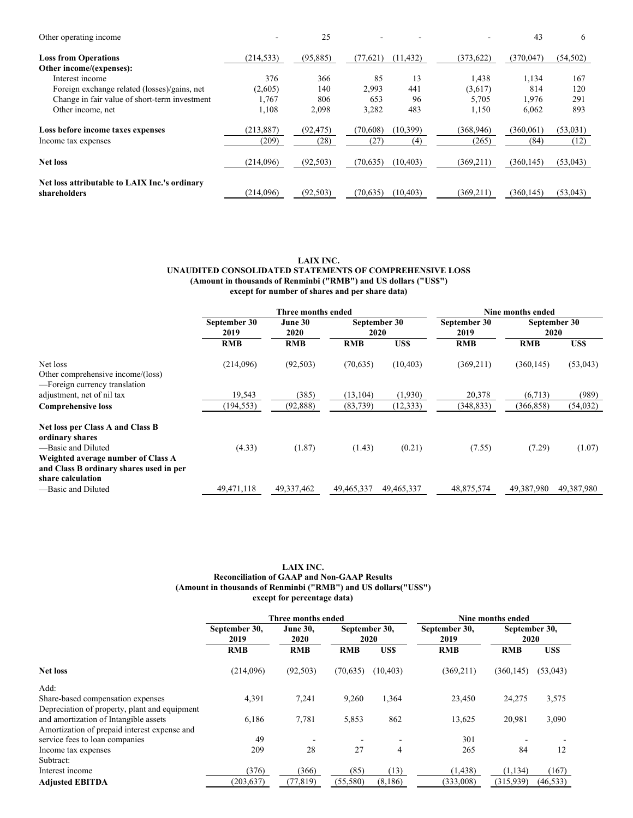| Other operating income                                        |            | 25        |           |           |            | 43         | 6         |
|---------------------------------------------------------------|------------|-----------|-----------|-----------|------------|------------|-----------|
| <b>Loss from Operations</b>                                   | (214, 533) | (95, 885) | (77, 621) | (11, 432) | (373, 622) | (370, 047) | (54, 502) |
| Other income/(expenses):                                      |            |           |           |           |            |            |           |
| Interest income                                               | 376        | 366       | 85        | 13        | 1,438      | 1,134      | 167       |
| Foreign exchange related (losses)/gains, net                  | (2,605)    | 140       | 2,993     | 441       | (3,617)    | 814        | 120       |
| Change in fair value of short-term investment                 | 1.767      | 806       | 653       | 96        | 5,705      | 1,976      | 291       |
| Other income, net                                             | 1,108      | 2,098     | 3,282     | 483       | 1,150      | 6,062      | 893       |
| Loss before income taxes expenses                             | (213, 887) | (92, 475) | (70.608)  | (10, 399) | (368, 946) | (360,061)  | (53, 031) |
| Income tax expenses                                           | (209)      | (28)      | (27)      | (4)       | (265)      | (84)       | (12)      |
| <b>Net loss</b>                                               | (214,096)  | (92, 503) | (70, 635) | (10, 403) | (369,211)  | (360, 145) | (53, 043) |
| Net loss attributable to LAIX Inc.'s ordinary<br>shareholders | (214,096)  | (92, 503) | (70.635)  | (10, 403) | (369.211)  | (360.145)  | (53,043)  |

## **LAIX INC. UNAUDITED CONSOLIDATED STATEMENTS OF COMPREHENSIVE LOSS (Amount in thousands of Renminbi ("RMB") and US dollars ("US\$") except for number of shares and per share data)**

|                                                                    |                      | Three months ended |                      | Nine months ended |                      |                      |            |
|--------------------------------------------------------------------|----------------------|--------------------|----------------------|-------------------|----------------------|----------------------|------------|
|                                                                    | September 30<br>2019 | June 30<br>2020    | September 30<br>2020 |                   | September 30<br>2019 | September 30<br>2020 |            |
|                                                                    | <b>RMB</b>           | <b>RMB</b>         | <b>RMB</b>           | US\$              | <b>RMB</b>           | <b>RMB</b>           | US\$       |
| Net loss                                                           | (214,096)            | (92, 503)          | (70, 635)            | (10, 403)         | (369,211)            | (360, 145)           | (53,043)   |
| Other comprehensive income/(loss)<br>-Foreign currency translation |                      |                    |                      |                   |                      |                      |            |
| adjustment, net of nil tax                                         | 19,543               | (385)              | (13, 104)            | (1,930)           | 20,378               | (6,713)              | (989)      |
| <b>Comprehensive loss</b>                                          | (194, 553)           | (92,888)           | (83, 739)            | (12, 333)         | (348, 833)           | (366, 858)           | (54, 032)  |
| Net loss per Class A and Class B<br>ordinary shares                |                      |                    |                      |                   |                      |                      |            |
| -Basic and Diluted                                                 | (4.33)               | (1.87)             | (1.43)               | (0.21)            | (7.55)               | (7.29)               | (1.07)     |
| Weighted average number of Class A                                 |                      |                    |                      |                   |                      |                      |            |
| and Class B ordinary shares used in per                            |                      |                    |                      |                   |                      |                      |            |
| share calculation                                                  |                      |                    |                      |                   |                      |                      |            |
| -Basic and Diluted                                                 | 49,471,118           | 49,337,462         | 49,465,337           | 49,465,337        | 48,875,574           | 49,387,980           | 49,387,980 |

## **LAIX INC. Reconciliation of GAAP and Non-GAAP Results (Amount in thousands of Renminbi ("RMB") and US dollars("US\$") except for percentage data)**

|                                               | Three months ended    |                         |               |            |                       | Nine months ended     |           |
|-----------------------------------------------|-----------------------|-------------------------|---------------|------------|-----------------------|-----------------------|-----------|
|                                               | September 30,<br>2019 | <b>June 30,</b><br>2020 | September 30, | 2020       | September 30,<br>2019 | September 30,<br>2020 |           |
|                                               | <b>RMB</b>            | <b>RMB</b>              | <b>RMB</b>    | <b>USS</b> | <b>RMB</b>            | <b>RMB</b>            | US\$      |
| <b>Net loss</b>                               | (214,096)             | (92, 503)               | (70, 635)     | (10, 403)  | (369,211)             | (360, 145)            | (53,043)  |
| Add:                                          |                       |                         |               |            |                       |                       |           |
| Share-based compensation expenses             | 4,391                 | 7,241                   | 9,260         | 1,364      | 23,450                | 24,275                | 3,575     |
| Depreciation of property, plant and equipment |                       |                         |               |            |                       |                       |           |
| and amortization of Intangible assets         | 6,186                 | 7,781                   | 5,853         | 862        | 13,625                | 20,981                | 3,090     |
| Amortization of prepaid interest expense and  |                       |                         |               |            |                       |                       |           |
| service fees to loan companies                | 49                    |                         |               |            | 301                   |                       |           |
| Income tax expenses                           | 209                   | 28                      | 27            | 4          | 265                   | 84                    | 12        |
| Subtract:                                     |                       |                         |               |            |                       |                       |           |
| Interest income                               | (376)                 | 366)                    | (85)          | (13)       | (1, 438)              | (1, 134)              | (167)     |
| <b>Adjusted EBITDA</b>                        | (203, 637)            | (77, 819)               | (55, 580)     | (8,186)    | (333,008)             | (315,939)             | (46, 533) |